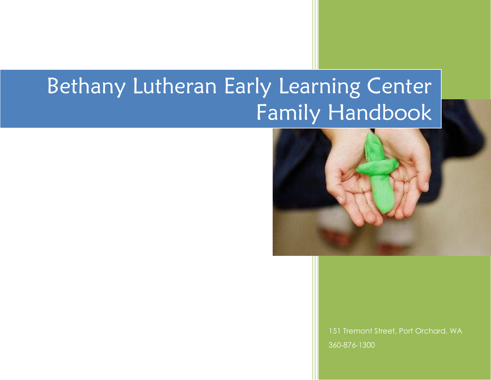# Bethany Lutheran Early Learning Center Family Handbook



151 Tremont Street, Port Orchard, WA 360-876-1300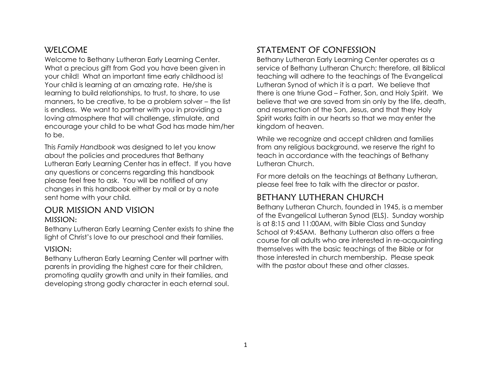#### **WELCOME**

Welcome to Bethany Lutheran Early Learning Center. What a precious gift from God you have been given in your child! What an important time early childhood is! Your child is learning at an amazing rate. He/she is learning to build relationships, to trust, to share, to use manners, to be creative, to be a problem solver – the list is endless. We want to partner with you in providing a loving atmosphere that will challenge, stimulate, and encourage your child to be what God has made him/her to be.

This *Family Handbook* was designed to let you know about the policies and procedures that Bethany Lutheran Early Learning Center has in effect. If you have any questions or concerns regarding this handbook please feel free to ask. You will be notified of any changes in this handbook either by mail or by a note sent home with your child.

#### OUR MISSION AND VISION MISSION:

Bethany Lutheran Early Learning Center exists to shine the light of Christ's love to our preschool and their families.

#### VISION:

Bethany Lutheran Early Learning Center will partner with parents in providing the highest care for their children, promoting quality growth and unity in their families, and developing strong godly character in each eternal soul.

# STATEMENT OF CONFESSION

Bethany Lutheran Early Learning Center operates as a service of Bethany Lutheran Church; therefore, all Biblical teaching will adhere to the teachings of The Evangelical Lutheran Synod of which it is a part. We believe that there is one triune God – Father, Son, and Holy Spirit. We believe that we are saved from sin only by the life, death, and resurrection of the Son, Jesus, and that they Holy Spirit works faith in our hearts so that we may enter the kingdom of heaven.

While we recognize and accept children and families from any religious background, we reserve the right to teach in accordance with the teachings of Bethany Lutheran Church.

For more details on the teachings at Bethany Lutheran, please feel free to talk with the director or pastor.

# BETHANY LUTHERAN CHURCH

Bethany Lutheran Church, founded in 1945, is a member of the Evangelical Lutheran Synod (ELS). Sunday worship is at 8:15 and 11:00AM, with Bible Class and Sunday School at 9:45AM. Bethany Lutheran also offers a free course for all adults who are interested in re-acquainting themselves with the basic teachings of the Bible or for those interested in church membership. Please speak with the pastor about these and other classes.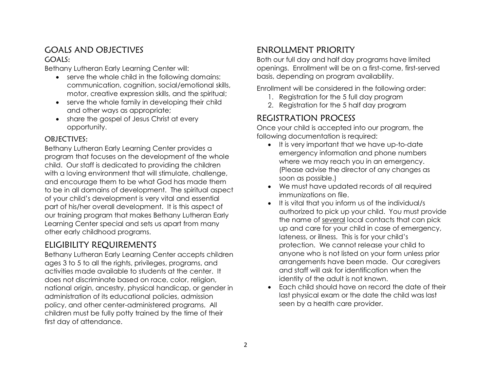#### GOALS AND OBJECTIVES GOALS:

Bethany Lutheran Early Learning Center will:

- serve the whole child in the following domains: communication, cognition, social/emotional skills, motor, creative expression skills, and the spiritual;
- serve the whole family in developing their child and other ways as appropriate;
- share the gospel of Jesus Christ at every opportunity.

#### OBJECTIVES:

Bethany Lutheran Early Learning Center provides a program that focuses on the development of the whole child. Our staff is dedicated to providing the children with a loving environment that will stimulate, challenge, and encourage them to be what God has made them to be in all domains of development. The spiritual aspect of your child's development is very vital and essential part of his/her overall development. It is this aspect of our training program that makes Bethany Lutheran Early Learning Center special and sets us apart from many other early childhood programs.

# ELIGIBILITY REQUIREMENTS

Bethany Lutheran Early Learning Center accepts children ages 3 to 5 to all the rights, privileges, programs, and activities made available to students at the center. It does not discriminate based on race, color, religion, national origin, ancestry, physical handicap, or gender in administration of its educational policies, admission policy, and other center-administered programs. All children must be fully potty trained by the time of their first day of attendance.

# ENROLLMENT PRIORITY

Both our full day and half day programs have limited openings. Enrollment will be on a first-come, first-served basis, depending on program availability.

Enrollment will be considered in the following order:

- 1. Registration for the 5 full day program
- 2. Registration for the 5 half day program

# REGISTRATION PROCESS

Once your child is accepted into our program, the following documentation is required:

- It is very important that we have up-to-date emergency information and phone numbers where we may reach you in an emergency. (Please advise the director of any changes as soon as possible.)
- We must have updated records of all required immunizations on file.
- It is vital that you inform us of the individual/s authorized to pick up your child. You must provide the name of several local contacts that can pick up and care for your child in case of emergency, lateness, or illness. This is for your child's protection. We cannot release your child to anyone who is not listed on your form unless prior arrangements have been made. Our caregivers and staff will ask for identification when the identity of the adult is not known.
- Each child should have on record the date of their last physical exam or the date the child was last seen by a health care provider.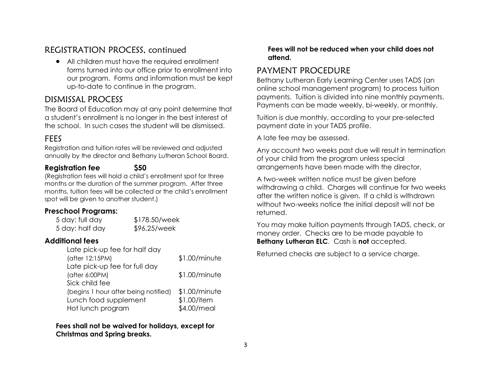## REGISTRATION PROCESS, continued

 All children must have the required enrollment forms turned into our office prior to enrollment into our program. Forms and information must be kept up-to-date to continue in the program.

#### DISMISSAL PROCESS

The Board of Education may at any point determine that a student's enrollment is no longer in the best interest of the school. In such cases the student will be dismissed.

#### FEES

Registration and tuition rates will be reviewed and adjusted annually by the director and Bethany Lutheran School Board.

#### **Registration fee \$50**

(Registration fees will hold a child's enrollment spot for three months or the duration of the summer program. After three months, tuition fees will be collected or the child's enrollment spot will be given to another student.)

#### **Preschool Programs:**

5 day: full day \$178.50/week 5 day: half day \$96.25/week

#### **Additional fees**

| Late pick-up fee for half day        |               |
|--------------------------------------|---------------|
| (after 12:15PM)                      | \$1.00/minute |
| Late pick-up fee for full day        |               |
| (after 6:00PM)                       | \$1.00/minute |
| Sick child fee                       |               |
| (begins 1 hour after being notified) | \$1.00/minute |
| Lunch food supplement                | \$1.00/item   |
| Hot lunch program                    | \$4.00/meal   |

**Fees shall not be waived for holidays, except for Christmas and Spring breaks.**

#### **Fees will not be reduced when your child does not attend.**

#### PAYMENT PROCEDURE

Bethany Lutheran Early Learning Center uses TADS (an online school management program) to process tuition payments. Tuition is divided into nine monthly payments. Payments can be made weekly, bi-weekly, or monthly.

Tuition is due monthly, according to your pre-selected payment date in your TADS profile.

A late fee may be assessed.

Any account two weeks past due will result in termination of your child from the program unless special arrangements have been made with the director.

A two-week written notice must be given before withdrawing a child. Charges will continue for two weeks after the written notice is given. If a child is withdrawn without two-weeks notice the initial deposit will not be returned.

You may make tuition payments through TADS, check, or money order. Checks are to be made payable to **Bethany Lutheran ELC**. Cash is **not** accepted.

Returned checks are subject to a service charge.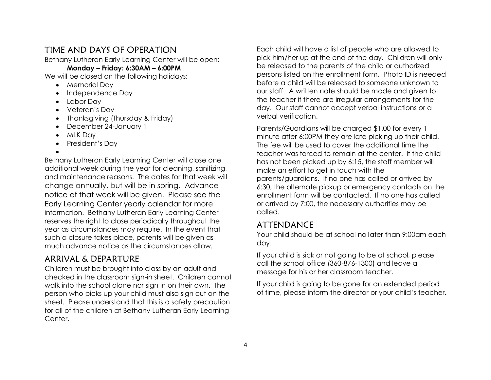#### TIME AND DAYS OF OPERATION

Bethany Lutheran Early Learning Center will be open:

#### **Monday – Friday: 6:30AM – 6:00PM**

We will be closed on the following holidays:

- Memorial Day
- Independence Day
- Labor Day
- Veteran's Day
- Thanksgiving (Thursday & Friday)
- December 24-January 1
- MLK Dav
- President's Day
- $\bullet$

Bethany Lutheran Early Learning Center will close one additional week during the year for cleaning, sanitizing, and maintenance reasons. The dates for that week will change annually, but will be in spring. Advance notice of that week will be given. Please see the Early Learning Center yearly calendar for more information. Bethany Lutheran Early Learning Center reserves the right to close periodically throughout the year as circumstances may require. In the event that such a closure takes place, parents will be given as much advance notice as the circumstances allow.

# ARRIVAL & DEPARTURE

Children must be brought into class by an adult and checked in the classroom sign-in sheet. Children cannot walk into the school alone nor sign in on their own. The person who picks up your child must also sign out on the sheet. Please understand that this is a safety precaution for all of the children at Bethany Lutheran Early Learning Center.

Each child will have a list of people who are allowed to pick him/her up at the end of the day. Children will only be released to the parents of the child or authorized persons listed on the enrollment form. Photo ID is needed before a child will be released to someone unknown to our staff. A written note should be made and given to the teacher if there are irregular arrangements for the day. Our staff cannot accept verbal instructions or a verbal verification.

Parents/Guardians will be charged \$1.00 for every 1 minute after 6:00PM they are late picking up their child. The fee will be used to cover the additional time the teacher was forced to remain at the center. If the child has not been picked up by 6:15, the staff member will make an effort to get in touch with the parents/guardians. If no one has called or arrived by 6:30, the alternate pickup or emergency contacts on the enrollment form will be contacted. If no one has called or arrived by 7:00, the necessary authorities may be called.

#### ATTENDANCE

Your child should be at school no later than 9:00am each day.

If your child is sick or not going to be at school, please call the school office (360-876-1300) and leave a message for his or her classroom teacher.

If your child is going to be gone for an extended period of time, please inform the director or your child's teacher.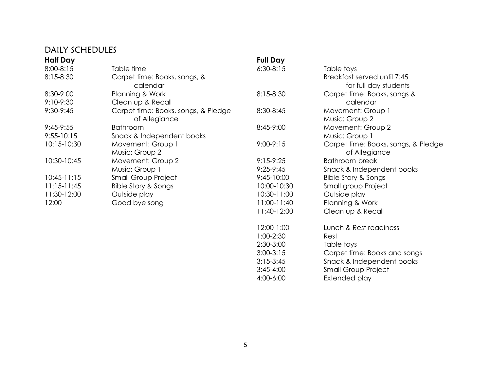## DAILY SCHEDULES

| <b>Half Day</b> |                                     | <b>Full Day</b> |                                     |
|-----------------|-------------------------------------|-----------------|-------------------------------------|
| 8:00-8:15       | Table time                          | $6:30-8:15$     | Table toys                          |
| 8:15-8:30       | Carpet time: Books, songs, &        |                 | Breakfast served until 7:45         |
|                 | calendar                            |                 | for full day students               |
| 8:30-9:00       | Planning & Work                     | 8:15-8:30       | Carpet time: Books, songs &         |
| 9:10-9:30       | Clean up & Recall                   |                 | calendar                            |
| 9:30-9:45       | Carpet time: Books, songs, & Pledge | 8:30-8:45       | Movement: Group 1                   |
|                 | of Allegiance                       |                 | Music: Group 2                      |
| $9:45-9:55$     | <b>Bathroom</b>                     | 8:45-9:00       | Movement: Group 2                   |
| $9:55 - 10:15$  | Snack & Independent books           |                 | Music: Group 1                      |
| 10:15-10:30     | Movement: Group 1                   | $9:00-9:15$     | Carpet time: Books, songs, & Pledge |
|                 | Music: Group 2                      |                 | of Allegiance                       |
| 10:30-10:45     | Movement: Group 2                   | $9:15-9:25$     | Bathroom break                      |
|                 | Music: Group 1                      | $9:25-9:45$     | Snack & Independent books           |
| $10:45-11:15$   | <b>Small Group Project</b>          | $9:45-10:00$    | <b>Bible Story &amp; Songs</b>      |
| $11:15-11:45$   | <b>Bible Story &amp; Songs</b>      | 10:00-10:30     | Small group Project                 |
| 11:30-12:00     | Outside play                        | 10:30-11:00     | Outside play                        |
| 12:00           | Good bye song                       | $11:00-11:40$   | Planning & Work                     |
|                 |                                     | 11:40-12:00     | Clean up & Recall                   |
|                 |                                     | 12:00-1:00      | Lunch & Rest readiness              |
|                 |                                     | $1:00-2:30$     | Rest                                |
|                 |                                     | 2:30-3:00       | Table toys                          |
|                 |                                     | $3:00-3:15$     | Carpet time: Books and songs        |
|                 |                                     | $3:15-3:45$     | Snack & Independent books           |
|                 |                                     | $3:45-4:00$     | <b>Small Group Project</b>          |

4:00-6:00 Extended play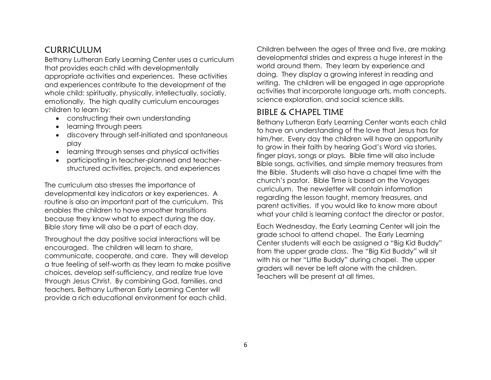#### CURRICULUM

Bethany Lutheran Early Learning Center uses a curriculum that provides each child with developmentally appropriate activities and experiences. These activities and experiences contribute to the development of the whole child: spiritually, physically, intellectually, socially, emotionally. The high quality curriculum encourages children to learn by:

- constructing their own understanding
- learning through peers
- discovery through self-initiated and spontaneous play
- learning through senses and physical activities
- participating in teacher-planned and teacherstructured activities, projects, and experiences

The curriculum also stresses the importance of developmental key indicators or key experiences. A routine is also an important part of the curriculum. This enables the children to have smoother transitions because they know what to expect during the day. Bible story time will also be a part of each day.

Throughout the day positive social interactions will be encouraged. The children will learn to share, communicate, cooperate, and care. They will develop a true feeling of self-worth as they learn to make positive choices, develop self-sufficiency, and realize true love through Jesus Christ. By combining God, families, and teachers, Bethany Lutheran Early Learning Center will provide a rich educational environment for each child.

Children between the ages of three and five, are making developmental strides and express a huge interest in the world around them. They learn by experience and doing. They display a growing interest in reading and writing. The children will be engaged in age appropriate activities that incorporate language arts, math concepts, science exploration, and social science skills.

#### BIBLE & CHAPEL TIME

Bethany Lutheran Early Learning Center wants each child to have an understanding of the love that Jesus has for him/her. Every day the children will have an opportunity to grow in their faith by hearing God's Word via stories, finger plays, songs or plays. Bible time will also include Bible songs, activities, and simple memory treasures from the Bible. Students will also have a chapel time with the church's pastor. Bible Time is based on the Voyages curriculum. The newsletter will contain information regarding the lesson taught, memory treasures, and parent activities. If you would like to know more about what your child is learning contact the director or pastor.

Each Wednesday, the Early Learning Center will join the grade school to attend chapel. The Early Learning Center students will each be assigned a "Big Kid Buddy" from the upper grade class. The "Big Kid Buddy" will sit with his or her "Little Buddy" during chapel. The upper graders will never be left alone with the children. Teachers will be present at all times.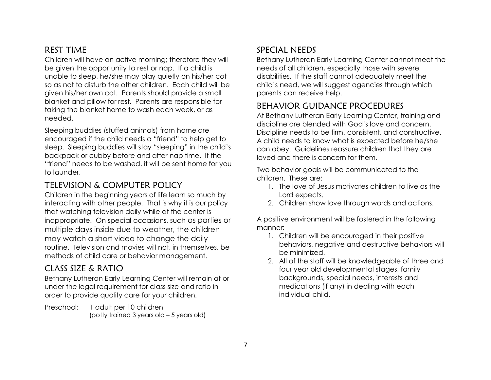# REST TIME

Children will have an active morning; therefore they will be given the opportunity to rest or nap. If a child is unable to sleep, he/she may play quietly on his/her cot so as not to disturb the other children. Each child will be given his/her own cot. Parents should provide a small blanket and pillow for rest. Parents are responsible for taking the blanket home to wash each week, or as needed.

Sleeping buddies (stuffed animals) from home are encouraged if the child needs a "friend" to help get to sleep. Sleeping buddies will stay "sleeping" in the child's backpack or cubby before and after nap time. If the "friend" needs to be washed, it will be sent home for you to launder.

# TELEVISION & COMPUTER POLICY

Children in the beginning years of life learn so much by interacting with other people. That is why it is our policy that watching television daily while at the center is inappropriate. On special occasions, such as parties or multiple days inside due to weather, the children may watch a short video to change the daily routine. Television and movies will not, in themselves, be methods of child care or behavior management.

# CLASS SIZE & RATIO

Bethany Lutheran Early Learning Center will remain at or under the legal requirement for class size and ratio in order to provide quality care for your children.

Preschool: 1 adult per 10 children (potty trained 3 years old – 5 years old)

# SPECIAL NEEDS

Bethany Lutheran Early Learning Center cannot meet the needs of all children, especially those with severe disabilities. If the staff cannot adequately meet the child's need, we will suggest agencies through which parents can receive help.

# BEHAVIOR GUIDANCE PROCEDURES

At Bethany Lutheran Early Learning Center, training and discipline are blended with God's love and concern. Discipline needs to be firm, consistent, and constructive. A child needs to know what is expected before he/she can obey. Guidelines reassure children that they are loved and there is concern for them.

Two behavior goals will be communicated to the children. These are:

- 1. The love of Jesus motivates children to live as the Lord expects.
- 2. Children show love through words and actions.

A positive environment will be fostered in the following manner:

- 1. Children will be encouraged in their positive behaviors, negative and destructive behaviors will be minimized.
- 2. All of the staff will be knowledgeable of three and four year old developmental stages, family backgrounds, special needs, interests and medications (if any) in dealing with each individual child.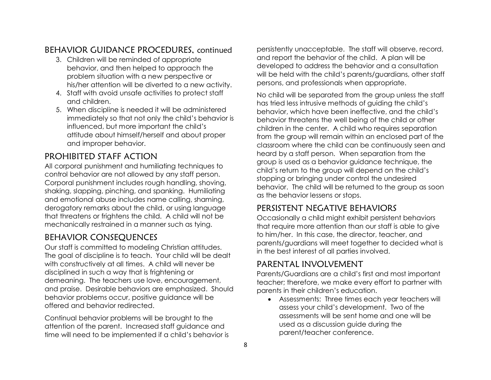# BEHAVIOR GUIDANCE PROCEDURES, continued

- 3. Children will be reminded of appropriate behavior, and then helped to approach the problem situation with a new perspective or his/her attention will be diverted to a new activity.
- 4. Staff with avoid unsafe activities to protect staff and children.
- 5. When discipline is needed it will be administered immediately so that not only the child's behavior is influenced, but more important the child's attitude about himself/herself and about proper and improper behavior.

# PROHIBITED STAFF ACTION

All corporal punishment and humiliating techniques to control behavior are not allowed by any staff person. Corporal punishment includes rough handling, shoving, shaking, slapping, pinching, and spanking. Humiliating and emotional abuse includes name calling, shaming, derogatory remarks about the child, or using language that threatens or frightens the child. A child will not be mechanically restrained in a manner such as tying.

# BEHAVIOR CONSEQUENCES

Our staff is committed to modeling Christian attitudes. The goal of discipline is to teach. Your child will be dealt with constructively at all times. A child will never be disciplined in such a way that is frightening or demeaning. The teachers use love, encouragement, and praise. Desirable behaviors are emphasized. Should behavior problems occur, positive guidance will be offered and behavior redirected.

Continual behavior problems will be brought to the attention of the parent. Increased staff guidance and time will need to be implemented if a child's behavior is persistently unacceptable. The staff will observe, record, and report the behavior of the child. A plan will be developed to address the behavior and a consultation will be held with the child's parents/guardians, other staff persons, and professionals when appropriate.

No child will be separated from the group unless the staff has tried less intrusive methods of guiding the child's behavior, which have been ineffective, and the child's behavior threatens the well being of the child or other children in the center. A child who requires separation from the group will remain within an enclosed part of the classroom where the child can be continuously seen and heard by a staff person. When separation from the group is used as a behavior guidance technique, the child's return to the group will depend on the child's stopping or bringing under control the undesired behavior. The child will be returned to the group as soon as the behavior lessens or stops.

# PERSISTENT NEGATIVE BEHAVIORS

Occasionally a child might exhibit persistent behaviors that require more attention than our staff is able to give to him/her. In this case, the director, teacher, and parents/guardians will meet together to decided what is in the best interest of all parties involved.

# PARENTAL INVOLVEMENT

Parents/Guardians are a child's first and most important teacher; therefore, we make every effort to partner with parents in their children's education.

 Assessments: Three times each year teachers will assess your child's development. Two of the assessments will be sent home and one will be used as a discussion guide during the parent/teacher conference.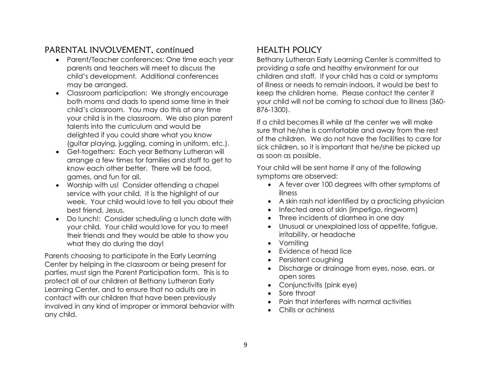# PARENTAL INVOLVEMENT, continued

- Parent/Teacher conferences: One time each year parents and teachers will meet to discuss the child's development. Additional conferences may be arranged.
- Classroom participation: We strongly encourage both moms and dads to spend some time in their child's classroom. You may do this at any time your child is in the classroom. We also plan parent talents into the curriculum and would be delighted if you could share what you know (guitar playing, juggling, coming in uniform, etc.).
- Get-togethers: Each year Bethany Lutheran will arrange a few times for families and staff to get to know each other better. There will be food, games, and fun for all.
- Worship with us! Consider attending a chapel service with your child. It is the highlight of our week. Your child would love to tell you about their best friend, Jesus.
- Do lunch!: Consider scheduling a lunch date with your child. Your child would love for you to meet their friends and they would be able to show you what they do during the day!

Parents choosing to participate in the Early Learning Center by helping in the classroom or being present for parties, must sign the Parent Participation form. This is to protect all of our children at Bethany Lutheran Early Learning Center, and to ensure that no adults are in contact with our children that have been previously involved in any kind of improper or immoral behavior with any child.

# HEALTH POLICY

Bethany Lutheran Early Learning Center is committed to providing a safe and healthy environment for our children and staff. If your child has a cold or symptoms of illness or needs to remain indoors, it would be best to keep the children home. Please contact the center if your child will not be coming to school due to illness (360- 876-1300).

If a child becomes ill while at the center we will make sure that he/she is comfortable and away from the rest of the children. We do not have the facilities to care for sick children, so it is important that he/she be picked up as soon as possible.

Your child will be sent home if any of the following symptoms are observed:

- A fever over 100 degrees with other symptoms of illness
- A skin rash not identified by a practicing physician
- Infected area of skin (impetigo, ringworm)
- Three incidents of diarrhea in one day
- Unusual or unexplained loss of appetite, fatigue, irritability, or headache
- Vomiting
- Evidence of head lice
- Persistent coughing
- Discharge or drainage from eyes, nose, ears, or open sores
- Conjunctivitis (pink eye)
- Sore throat
- Pain that interferes with normal activities
- Chills or achiness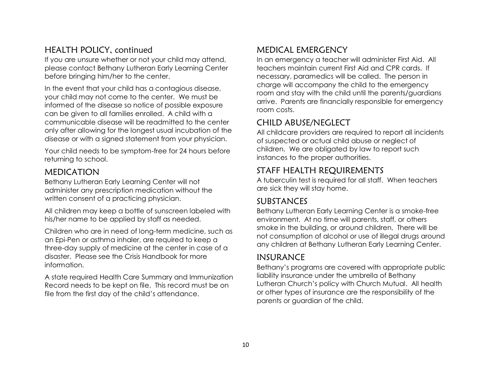#### HEALTH POLICY, continued

If you are unsure whether or not your child may attend, please contact Bethany Lutheran Early Learning Center before bringing him/her to the center.

In the event that your child has a contagious disease, your child may not come to the center. We must be informed of the disease so notice of possible exposure can be given to all families enrolled. A child with a communicable disease will be readmitted to the center only after allowing for the longest usual incubation of the disease or with a signed statement from your physician.

Your child needs to be symptom-free for 24 hours before returning to school.

#### MEDICATION

Bethany Lutheran Early Learning Center will not administer any prescription medication without the written consent of a practicing physician.

All children may keep a bottle of sunscreen labeled with his/her name to be applied by staff as needed.

Children who are in need of long-term medicine, such as an Epi-Pen or asthma inhaler, are required to keep a three-day supply of medicine at the center in case of a disaster. Please see the Crisis Handbook for more information.

A state required Health Care Summary and Immunization Record needs to be kept on file. This record must be on file from the first day of the child's attendance.

#### MEDICAL EMERGENCY

In an emergency a teacher will administer First Aid. All teachers maintain current First Aid and CPR cards. If necessary, paramedics will be called. The person in charge will accompany the child to the emergency room and stay with the child until the parents/guardians arrive. Parents are financially responsible for emergency room costs.

#### CHILD ABUSE/NEGLECT

All childcare providers are required to report all incidents of suspected or actual child abuse or neglect of children. We are obligated by law to report such instances to the proper authorities.

### STAFF HEALTH REQUIREMENTS

A tuberculin test is required for all staff. When teachers are sick they will stay home.

#### SUBSTANCES

Bethany Lutheran Early Learning Center is a smoke-free environment. At no time will parents, staff, or others smoke in the building, or around children. There will be not consumption of alcohol or use of illegal drugs around any children at Bethany Lutheran Early Learning Center.

# INSURANCE

Bethany's programs are covered with appropriate public liability insurance under the umbrella of Bethany Lutheran Church's policy with Church Mutual. All health or other types of insurance are the responsibility of the parents or guardian of the child.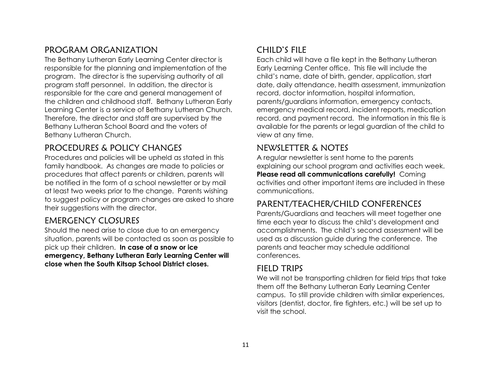#### PROGRAM ORGANIZATION

The Bethany Lutheran Early Learning Center director is responsible for the planning and implementation of the program. The director is the supervising authority of all program staff personnel. In addition, the director is responsible for the care and general management of the children and childhood staff. Bethany Lutheran Early Learning Center is a service of Bethany Lutheran Church. Therefore, the director and staff are supervised by the Bethany Lutheran School Board and the voters of Bethany Lutheran Church.

#### PROCEDURES & POLICY CHANGES

Procedures and policies will be upheld as stated in this family handbook. As changes are made to policies or procedures that affect parents or children, parents will be notified in the form of a school newsletter or by mail at least two weeks prior to the change. Parents wishing to suggest policy or program changes are asked to share their suggestions with the director.

#### EMERGENCY CLOSURES

Should the need arise to close due to an emergency situation, parents will be contacted as soon as possible to pick up their children. **In case of a snow or ice emergency, Bethany Lutheran Early Learning Center will close when the South Kitsap School District closes.**

# CHILD'S FILE

Each child will have a file kept in the Bethany Lutheran Early Learning Center office. This file will include the child's name, date of birth, gender, application, start date, daily attendance, health assessment, immunization record, doctor information, hospital information, parents/guardians information, emergency contacts, emergency medical record, incident reports, medication record, and payment record. The information in this file is available for the parents or legal guardian of the child to view at any time.

# NEWSLETTER & NOTES

A regular newsletter is sent home to the parents explaining our school program and activities each week. **Please read all communications carefully!** Coming activities and other important items are included in these communications.

# PARENT/TEACHER/CHILD CONFERENCES

Parents/Guardians and teachers will meet together one time each year to discuss the child's development and accomplishments. The child's second assessment will be used as a discussion guide during the conference. The parents and teacher may schedule additional conferences.

#### FIELD TRIPS

We will not be transporting children for field trips that take them off the Bethany Lutheran Early Learning Center campus. To still provide children with similar experiences, visitors (dentist, doctor, fire fighters, etc.) will be set up to visit the school.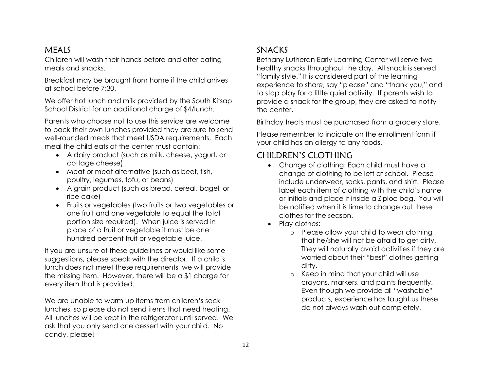#### MEALS

Children will wash their hands before and after eating meals and snacks.

Breakfast may be brought from home if the child arrives at school before 7:30.

We offer hot lunch and milk provided by the South Kitsap School District for an additional charge of \$4/lunch.

Parents who choose not to use this service are welcome to pack their own lunches provided they are sure to send well-rounded meals that meet USDA requirements. Each meal the child eats at the center must contain:

- A dairy product (such as milk, cheese, yogurt, or cottage cheese)
- Meat or meat alternative (such as beef, fish, poultry, legumes, tofu, or beans)
- A grain product (such as bread, cereal, bagel, or rice cake)
- Fruits or vegetables (two fruits or two vegetables or one fruit and one vegetable to equal the total portion size required). When juice is served in place of a fruit or vegetable it must be one hundred percent fruit or vegetable juice.

If you are unsure of these guidelines or would like some suggestions, please speak with the director. If a child's lunch does not meet these requirements, we will provide the missing item. However, there will be a \$1 charge for every item that is provided.

We are unable to warm up items from children's sack lunches, so please do not send items that need heating. All lunches will be kept in the refrigerator until served. We ask that you only send one dessert with your child. No candy, please!

# SNACKS

Bethany Lutheran Early Learning Center will serve two healthy snacks throughout the day. All snack is served "family style." It is considered part of the learning experience to share, say "please" and "thank you," and to stop play for a little quiet activity. If parents wish to provide a snack for the group, they are asked to notify the center.

Birthday treats must be purchased from a grocery store.

Please remember to indicate on the enrollment form if your child has an allergy to any foods.

# CHILDREN'S CLOTHING

- Change of clothing: Each child must have a change of clothing to be left at school. Please include underwear, socks, pants, and shirt. Please label each item of clothing with the child's name or initials and place it inside a Ziploc bag. You will be notified when it is time to change out these clothes for the season.
- Play clothes:
	- o Please allow your child to wear clothing that he/she will not be afraid to get dirty. They will naturally avoid activities if they are worried about their "best" clothes getting dirty.
	- o Keep in mind that your child will use crayons, markers, and paints frequently. Even though we provide all "washable" products, experience has taught us these do not always wash out completely.